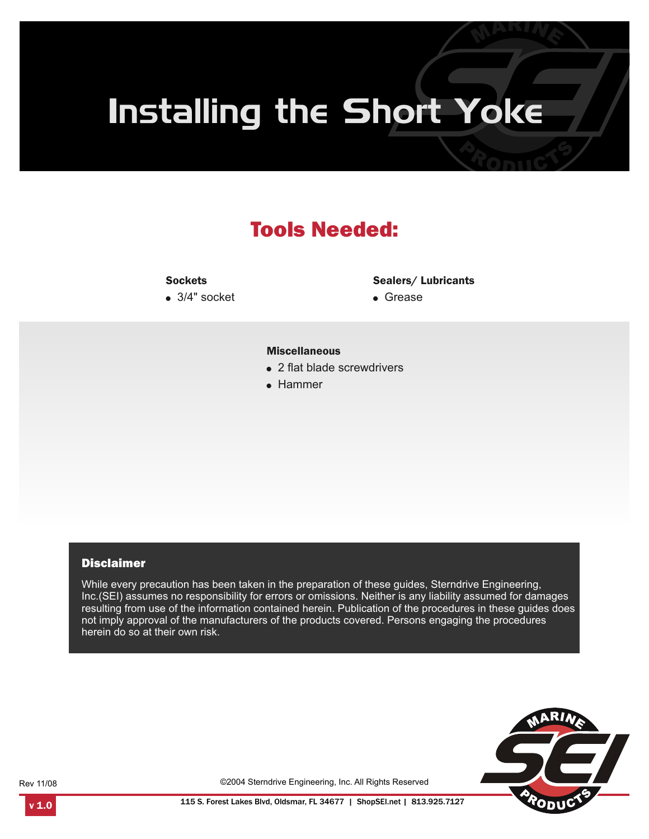# Installing the Short Yoke

# Tools Needed:

#### **Sockets**

 $\bullet$  3/4" socket

#### Sealers/ Lubricants

• Grease

#### Miscellaneous

- 2 flat blade screwdrivers
- Hammer

#### **Disclaimer**

While every precaution has been taken in the preparation of these guides, Sterndrive Engineering, Inc.(SEI) assumes no responsibility for errors or omissions. Neither is any liability assumed for damages resulting from use of the information contained herein. Publication of the procedures in these guides does not imply approval of the manufacturers of the products covered. Persons engaging the procedures herein do so at their own risk.



Rev 11/08

©2004 Sterndrive Engineering, Inc. All Rights Reserved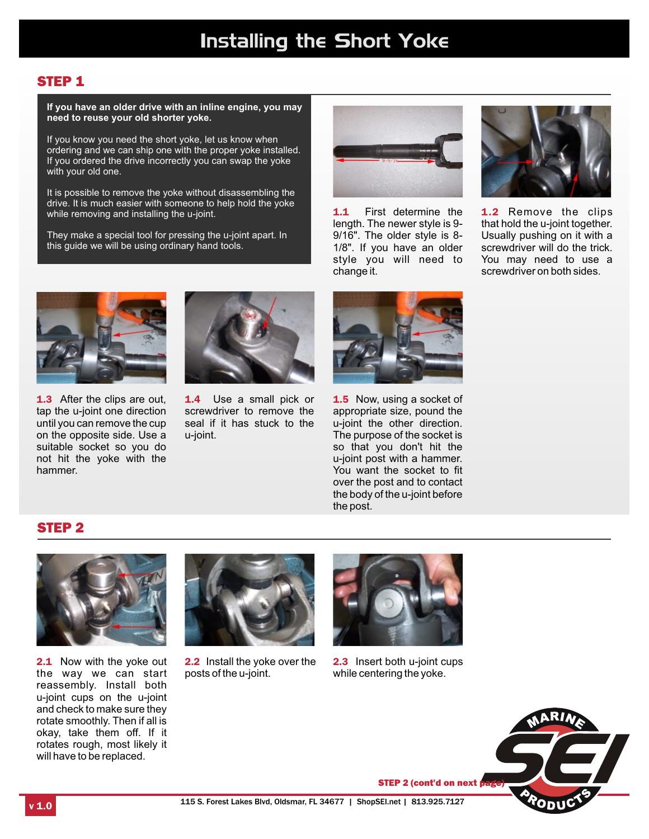## STEP 1

**If you have an older drive with an inline engine, you may need to reuse your old shorter yoke.**

If you know you need the short yoke, let us know when ordering and we can ship one with the proper yoke installed. If you ordered the drive incorrectly you can swap the yoke with your old one.

It is possible to remove the yoke without disassembling the drive. It is much easier with someone to help hold the yoke while removing and installing the u-joint.

They make a special tool for pressing the u-joint apart. In this guide we will be using ordinary hand tools.



1.1 First determine the length. The newer style is 9- 9/16". The older style is 8- 1/8". If you have an older style you will need to change it.



1.2 Remove the clips that hold the u-joint together. Usually pushing on it with a screwdriver will do the trick. You may need to use a screwdriver on both sides.



1.3 After the clips are out, tap the u-joint one direction until you can remove the cup on the opposite side. Use a suitable socket so you do not hit the yoke with the hammer.



1.4 Use a small pick or screwdriver to remove the seal if it has stuck to the u-joint.



1.5 Now, using a socket of appropriate size, pound the u-joint the other direction. The purpose of the socket is so that you don't hit the u-joint post with a hammer. You want the socket to fit over the post and to contact the body of the u-joint before the post.

### STEP 2



2.1 Now with the yoke out the way we can start reassembly. Install both u-joint cups on the u-joint and check to make sure they rotate smoothly. Then if all is okay, take them off. If it rotates rough, most likely it will have to be replaced.



2.2 Install the yoke over the posts of the u-joint.



2.3 Insert both u-joint cups while centering the yoke.